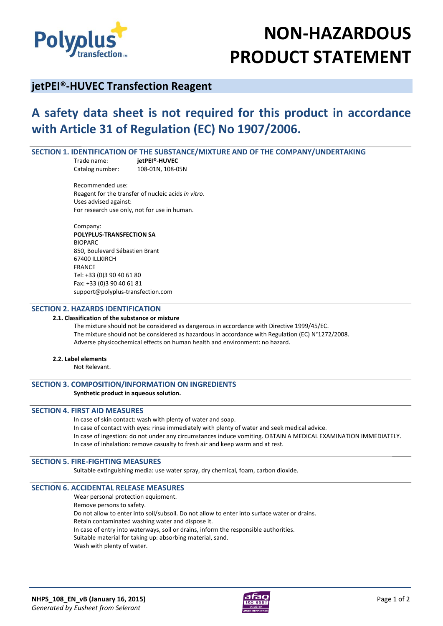

# **NON-HAZARDOUS PRODUCT STATEMENT**

# **jetPEI®-HUVEC Transfection Reagent**

# **A safety data sheet is not required for this product in accordance with Article 31 of Regulation (EC) No 1907/2006.**

# **SECTION 1. IDENTIFICATION OF THE SUBSTANCE/MIXTURE AND OF THE COMPANY/UNDERTAKING**

Trade name: **jetPEI®-HUVEC** Catalog number: 108-01N, 108-05N

Recommended use: Reagent for the transfer of nucleic acids *in vitro.* Uses advised against: For research use only, not for use in human.

Company: **POLYPLUS-TRANSFECTION SA**  BIOPARC 850, Boulevard Sébastien Brant 67400 ILLKIRCH FRANCE Tel: +33 (0)3 90 40 61 80 Fax: +33 (0)3 90 40 61 81 support@polyplus-transfection.com

#### **SECTION 2. HAZARDS IDENTIFICATION**

#### **2.1. Classification of the substance or mixture**

The mixture should not be considered as dangerous in accordance with Directive 1999/45/EC. The mixture should not be considered as hazardous in accordance with Regulation (EC) N°1272/2008. Adverse physicochemical effects on human health and environment: no hazard.

#### **2.2. Label elements**

Not Relevant.

# **SECTION 3. COMPOSITION/INFORMATION ON INGREDIENTS**

#### **Synthetic product in aqueous solution.**

# **SECTION 4. FIRST AID MEASURES**

In case of skin contact: wash with plenty of water and soap. In case of contact with eyes: rinse immediately with plenty of water and seek medical advice. In case of ingestion: do not under any circumstances induce vomiting. OBTAIN A MEDICAL EXAMINATION IMMEDIATELY. In case of inhalation: remove casualty to fresh air and keep warm and at rest.

# **SECTION 5. FIRE-FIGHTING MEASURES**

Suitable extinguishing media: use water spray, dry chemical, foam, carbon dioxide.

#### **SECTION 6. ACCIDENTAL RELEASE MEASURES**

Wear personal protection equipment. Remove persons to safety. Do not allow to enter into soil/subsoil. Do not allow to enter into surface water or drains. Retain contaminated washing water and dispose it. In case of entry into waterways, soil or drains, inform the responsible authorities. Suitable material for taking up: absorbing material, sand. Wash with plenty of water.